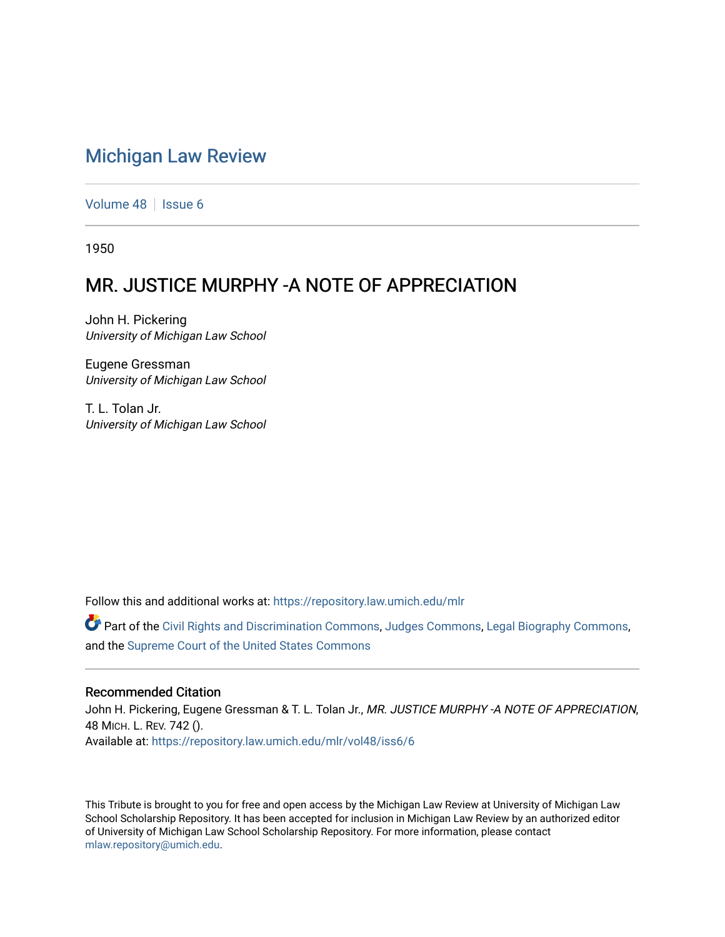## [Michigan Law Review](https://repository.law.umich.edu/mlr)

[Volume 48](https://repository.law.umich.edu/mlr/vol48) | [Issue 6](https://repository.law.umich.edu/mlr/vol48/iss6)

1950

## MR. JUSTICE MURPHY -A NOTE OF APPRECIATION

John H. Pickering University of Michigan Law School

Eugene Gressman University of Michigan Law School

T. L. Tolan Jr. University of Michigan Law School

Follow this and additional works at: [https://repository.law.umich.edu/mlr](https://repository.law.umich.edu/mlr?utm_source=repository.law.umich.edu%2Fmlr%2Fvol48%2Fiss6%2F6&utm_medium=PDF&utm_campaign=PDFCoverPages) 

 $\bullet$  Part of the [Civil Rights and Discrimination Commons,](http://network.bepress.com/hgg/discipline/585?utm_source=repository.law.umich.edu%2Fmlr%2Fvol48%2Fiss6%2F6&utm_medium=PDF&utm_campaign=PDFCoverPages) [Judges Commons,](http://network.bepress.com/hgg/discipline/849?utm_source=repository.law.umich.edu%2Fmlr%2Fvol48%2Fiss6%2F6&utm_medium=PDF&utm_campaign=PDFCoverPages) [Legal Biography Commons,](http://network.bepress.com/hgg/discipline/834?utm_source=repository.law.umich.edu%2Fmlr%2Fvol48%2Fiss6%2F6&utm_medium=PDF&utm_campaign=PDFCoverPages) and the [Supreme Court of the United States Commons](http://network.bepress.com/hgg/discipline/1350?utm_source=repository.law.umich.edu%2Fmlr%2Fvol48%2Fiss6%2F6&utm_medium=PDF&utm_campaign=PDFCoverPages)

## Recommended Citation

John H. Pickering, Eugene Gressman & T. L. Tolan Jr., MR. JUSTICE MURPHY -A NOTE OF APPRECIATION, 48 MICH. L. REV. 742 (). Available at: [https://repository.law.umich.edu/mlr/vol48/iss6/6](https://repository.law.umich.edu/mlr/vol48/iss6/6?utm_source=repository.law.umich.edu%2Fmlr%2Fvol48%2Fiss6%2F6&utm_medium=PDF&utm_campaign=PDFCoverPages)

This Tribute is brought to you for free and open access by the Michigan Law Review at University of Michigan Law School Scholarship Repository. It has been accepted for inclusion in Michigan Law Review by an authorized editor of University of Michigan Law School Scholarship Repository. For more information, please contact [mlaw.repository@umich.edu.](mailto:mlaw.repository@umich.edu)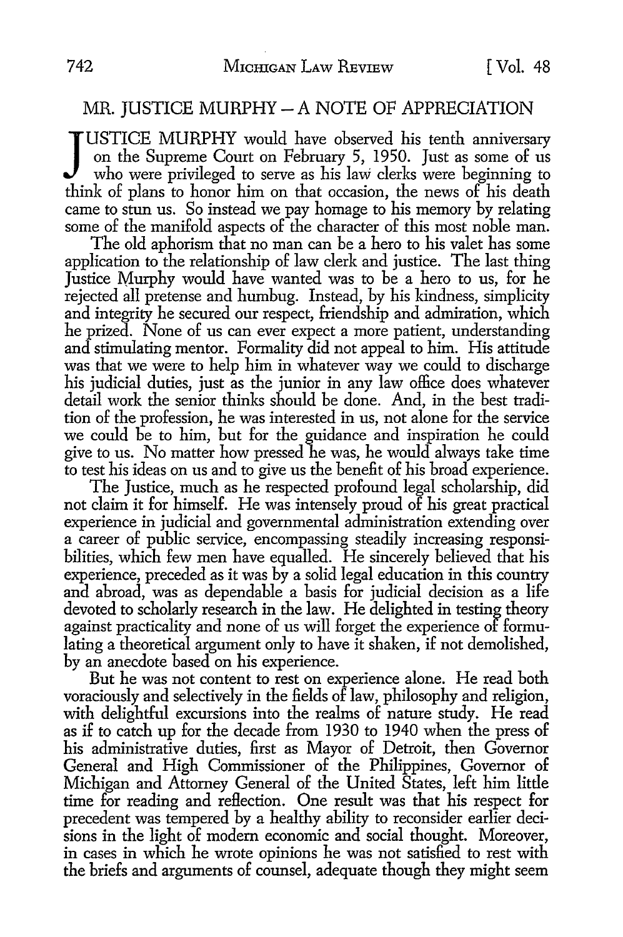## $MR.$  JUSTICE MURPHY  $-$  A NOTE OF APPRECIATION

JUSTICE MURPHY would have observed his tenth anniversary<br>on the Supreme Court on February 5, 1950. Just as some of us<br>who were privileged to serve as his law clerks were beginning to<br>think of plans to honor him on that occ USTICE MURPHY would have observed his tenth anniversary on the Supreme Court on February 5, 1950. Just as some of us who were privileged to serve as his law clerks were beginning to came to stun us. So instead we pay homage to his memory by relating some of the manifold aspects of the character of this most noble man.

The old aphorism that no man can be a hero to his valet has some application to the relationship of law clerk and justice. The last thing Justice Murphy would have wanted was to be a hero to us, for he rejected all pretense and humbug. Instead, by his kindness, simplicity and integrity he secured our respect, friendship and admiration, which he prized. None of us can ever expect a more patient, understanding and stimulating mentor. Formality did not appeal to him. His attitude was that we were to help him in whatever way we could to discharge his judicial duties, just as the junior in any law office does whatever detail work the senior thinks should be done. And, in the best tradition of the profession, he was interested in us, not alone for the service we could be to him, but for the guidance and inspiration he could give to us. No matter how pressed he was, he would always take time to test his ideas on us and to give us the benefit of his broad experience.

The Justice, much as he respected profound legal scholarship, did not claim it for himself. He was intensely proud of his great practical experience in judicial and governmental administration extending over a career of public service, encompassing steadily increasing responsibilities, which few men have equalled. He sincerely believed that his experience, preceded as it was by a solid legal education in this country and abroad, was as dependable a basis for judicial decision as a life devoted to scholarly research in the law. He delighted in testing theory against practicality and none of us will forget the experience of formulating a theoretical argument only to have it shaken, if not demolished, by an anecdote based on his experience.

But he was not content to rest on experience alone. He read both voraciously and selectively in the fields of law, philosophy and religion, with delightful excursions into the realms of nature study. He read as if to catch up for the decade from 1930 to 1940 when the press of his administrative duties, first as Mayor of Detroit, then Governor General and High Commissioner of the Philippines, Governor of Michigan and Attorney General of the United States, left him little time for reading and reflection. One result was that his respect for precedent was tempered by a healthy ability to reconsider earlier decisions in the light of modern economic and social thought. Moreover, in cases in which he wrote opinions he was not satisfied to rest with the briefs and arguments of counsel, adequate though they might seem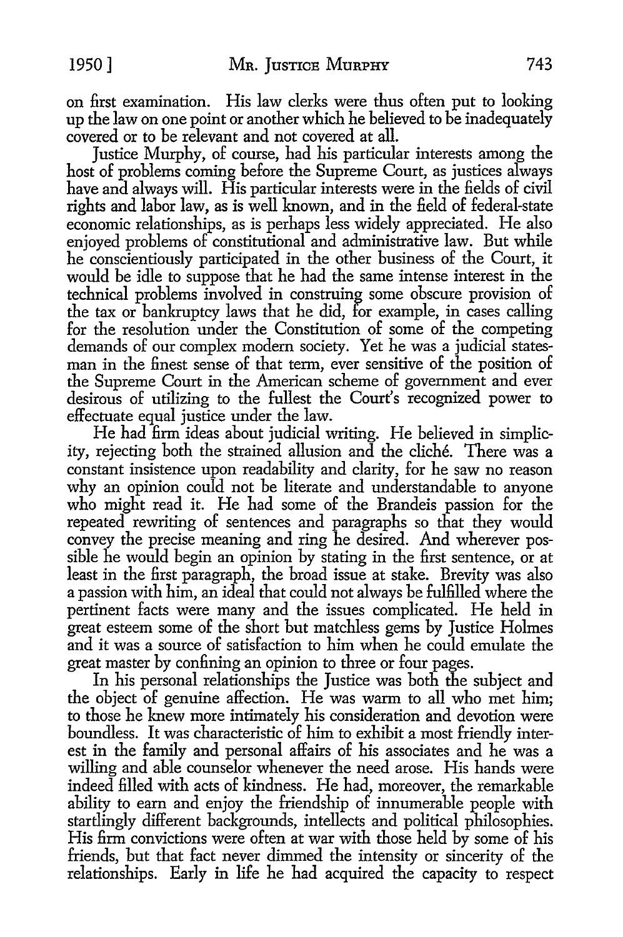on first examination. His law clerks were thus often put to looking up the law on one point or another which he believed to be inadequately covered or to be relevant and not covered at all.

Justice Murphy, of course, had his particular interests among the host of problems corning before the Supreme Court, as justices always have and always will. His particular interests were in the fields of civil rights and labor law, as is well known, and in the field of federal-state economic relationships, as is perhaps less widely appreciated. He also enjoyed problems of constitutional and administrative law. But while he conscientiously participated in the other business of the Court, it would be idle to suppose that he had the same intense interest in the technical problems involved in construing some obscure provision of the tax or bankruptcy laws that he did, for example, in cases calling for the resolution under the Constitution of some of the competing demands of our complex modem society. Yet he was a judicial statesman in the finest sense of that term, ever sensitive of the position of the Supreme Court in the American scheme of government and ever desirous of utilizing to the fullest the Court's recognized power to effectuate equal justice under the law.

He had firm ideas about judicial writing. He believed in simplicity, rejecting both the strained allusion and the cliche. There was a constant insistence upon readability and clarity, for he saw no reason why an opinion could not be literate and understandable to anyone who might read it. He had some of the Brandeis passion for the repeated rewriting of sentences and paragraphs so that they would convey the precise meaning and ring he desired. And wherever possible he would begin an opinion by stating in the first sentence, or at least in the first paragraph, the broad issue at stake. Brevity was also a passion with him, an ideal that could not always be fulfilled where the pertinent facts were many and the issues complicated. He held in great esteem some of the short but matchless gems by Justice Holmes and it was a source of satisfaction to him when he could emulate the great master by confining an opinion to three or four pages.

In his personal relationships the Justice was both the subject and the object of genuine affection. He was warm to all who met him; to those he knew more intimately his consideration and devotion were boundless. It was characteristic of him to exhibit a most friendly interest in the family and personal affairs of his associates and he was a willing and able counselor whenever the need arose. His hands were indeed filled with acts of kindness. He had, moreover, the remarkable ability to earn and enjoy the friendship of innumerable people with startlingly different backgrounds, intellects and political philosophies. His firm convictions were often at war with those held by some of his friends, but that fact never dimmed the intensity or sincerity of the relationships. Early in life he had acquired the capacity to respect